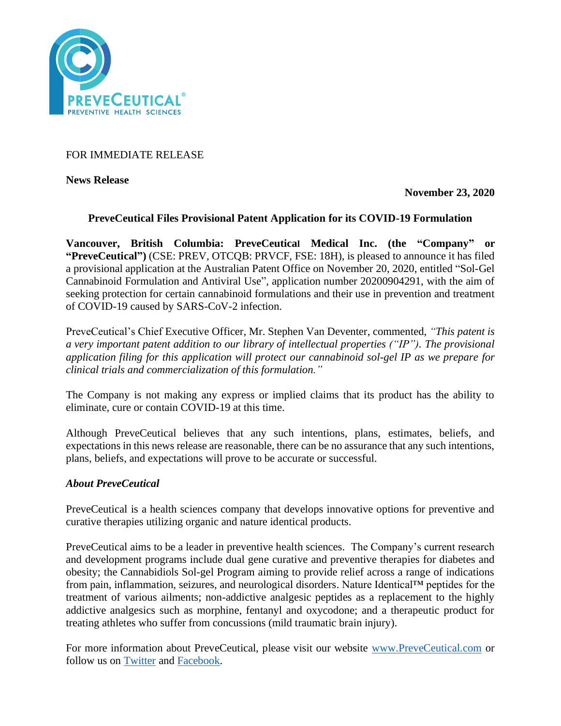

# FOR IMMEDIATE RELEASE

**News Release** 

**November 23, 2020**

## **PreveCeutical Files Provisional Patent Application for its COVID-19 Formulation**

**Vancouver, British Columbia: PreveCeutical Medical Inc. (the "Company" or "PreveCeutical")** (CSE: PREV, OTCQB: PRVCF, FSE: 18H), is pleased to announce it has filed a provisional application at the Australian Patent Office on November 20, 2020, entitled "Sol-Gel Cannabinoid Formulation and Antiviral Use", application number 20200904291, with the aim of seeking protection for certain cannabinoid formulations and their use in prevention and treatment of COVID-19 caused by SARS-CoV-2 infection.

PreveCeutical's Chief Executive Officer, Mr. Stephen Van Deventer, commented, *"This patent is a very important patent addition to our library of intellectual properties ("IP"). The provisional application filing for this application will protect our cannabinoid sol-gel IP as we prepare for clinical trials and commercialization of this formulation."*

The Company is not making any express or implied claims that its product has the ability to eliminate, cure or contain COVID-19 at this time.

Although PreveCeutical believes that any such intentions, plans, estimates, beliefs, and expectations in this news release are reasonable, there can be no assurance that any such intentions, plans, beliefs, and expectations will prove to be accurate or successful.

### *About PreveCeutical*

PreveCeutical is a health sciences company that develops innovative options for preventive and curative therapies utilizing organic and nature identical products.

PreveCeutical aims to be a leader in preventive health sciences. The Company's current research and development programs include dual gene curative and preventive therapies for diabetes and obesity; the Cannabidiols Sol-gel Program aiming to provide relief across a range of indications from pain, inflammation, seizures, and neurological disorders. Nature Identical™ peptides for the treatment of various ailments; non-addictive analgesic peptides as a replacement to the highly addictive analgesics such as morphine, fentanyl and oxycodone; and a therapeutic product for treating athletes who suffer from concussions (mild traumatic brain injury).

For more information about PreveCeutical, please visit our website [www.PreveCeutical.com](http://www.preveceutical.com/) or follow us on **Twitter** and [Facebook.](http://www.facebook.com/PreveCeutical)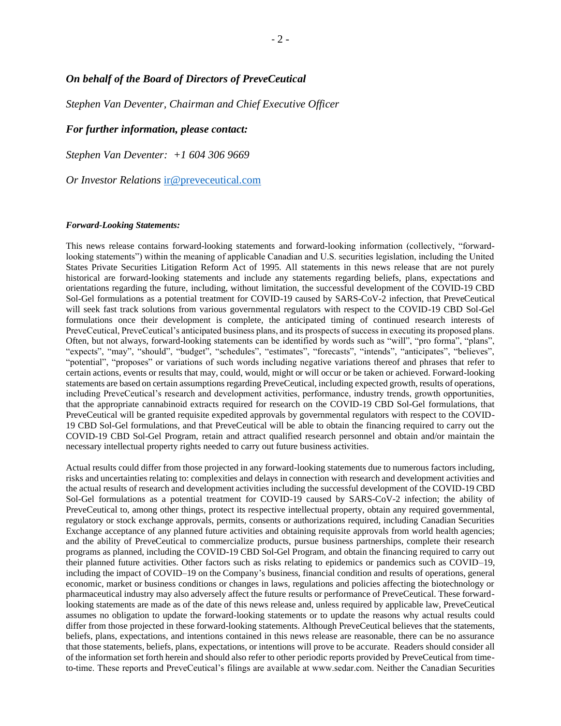### *On behalf of the Board of Directors of PreveCeutical*

*Stephen Van Deventer, Chairman and Chief Executive Officer*

#### *For further information, please contact:*

*Stephen Van Deventer: +1 604 306 9669*

*Or Investor Relations* [ir@preveceutical.com](mailto:ir@preveceutical.com)

#### *Forward-Looking Statements:*

This news release contains forward-looking statements and forward-looking information (collectively, "forwardlooking statements") within the meaning of applicable Canadian and U.S. securities legislation, including the United States Private Securities Litigation Reform Act of 1995. All statements in this news release that are not purely historical are forward-looking statements and include any statements regarding beliefs, plans, expectations and orientations regarding the future, including, without limitation, the successful development of the COVID-19 CBD Sol-Gel formulations as a potential treatment for COVID-19 caused by SARS-CoV-2 infection, that PreveCeutical will seek fast track solutions from various governmental regulators with respect to the COVID-19 CBD Sol-Gel formulations once their development is complete, the anticipated timing of continued research interests of PreveCeutical, PreveCeutical's anticipated business plans, and its prospects of success in executing its proposed plans. Often, but not always, forward-looking statements can be identified by words such as "will", "pro forma", "plans", "expects", "may", "should", "budget", "schedules", "estimates", "forecasts", "intends", "anticipates", "believes", "potential", "proposes" or variations of such words including negative variations thereof and phrases that refer to certain actions, events or results that may, could, would, might or will occur or be taken or achieved. Forward-looking statements are based on certain assumptions regarding PreveCeutical, including expected growth, results of operations, including PreveCeutical's research and development activities, performance, industry trends, growth opportunities, that the appropriate cannabinoid extracts required for research on the COVID-19 CBD Sol-Gel formulations, that PreveCeutical will be granted requisite expedited approvals by governmental regulators with respect to the COVID-19 CBD Sol-Gel formulations, and that PreveCeutical will be able to obtain the financing required to carry out the COVID-19 CBD Sol-Gel Program, retain and attract qualified research personnel and obtain and/or maintain the necessary intellectual property rights needed to carry out future business activities.

Actual results could differ from those projected in any forward-looking statements due to numerous factors including, risks and uncertainties relating to: complexities and delays in connection with research and development activities and the actual results of research and development activities including the successful development of the COVID-19 CBD Sol-Gel formulations as a potential treatment for COVID-19 caused by SARS-CoV-2 infection; the ability of PreveCeutical to, among other things, protect its respective intellectual property, obtain any required governmental, regulatory or stock exchange approvals, permits, consents or authorizations required, including Canadian Securities Exchange acceptance of any planned future activities and obtaining requisite approvals from world health agencies; and the ability of PreveCeutical to commercialize products, pursue business partnerships, complete their research programs as planned, including the COVID-19 CBD Sol-Gel Program, and obtain the financing required to carry out their planned future activities. Other factors such as risks relating to epidemics or pandemics such as COVID–19, including the impact of COVID–19 on the Company's business, financial condition and results of operations, general economic, market or business conditions or changes in laws, regulations and policies affecting the biotechnology or pharmaceutical industry may also adversely affect the future results or performance of PreveCeutical. These forwardlooking statements are made as of the date of this news release and, unless required by applicable law, PreveCeutical assumes no obligation to update the forward-looking statements or to update the reasons why actual results could differ from those projected in these forward-looking statements. Although PreveCeutical believes that the statements, beliefs, plans, expectations, and intentions contained in this news release are reasonable, there can be no assurance that those statements, beliefs, plans, expectations, or intentions will prove to be accurate. Readers should consider all of the information set forth herein and should also refer to other periodic reports provided by PreveCeutical from timeto-time. These reports and PreveCeutical's filings are available at www.sedar.com. Neither the Canadian Securities